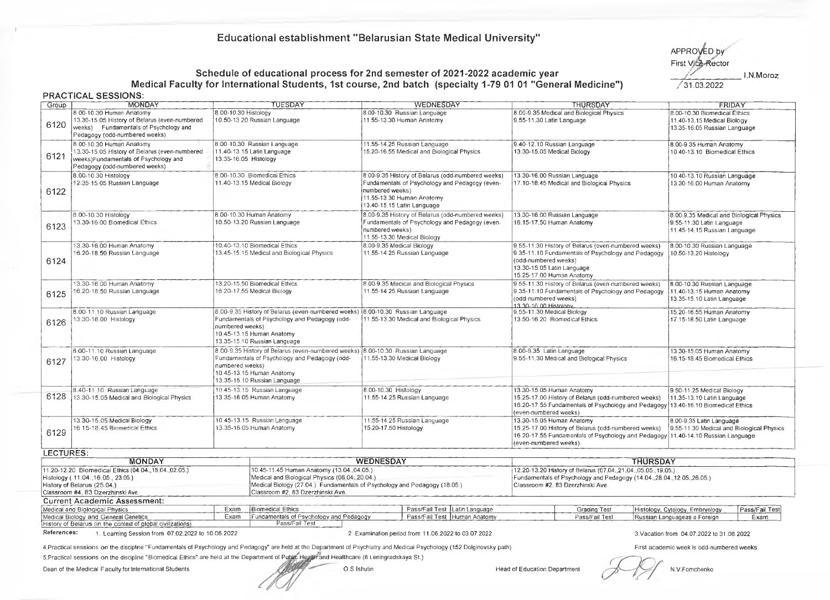## **Educational establishment "Belarusian State Medical University"**

APPROVED b First Vice-Rector

## Schedule of educational process for 2nd semester of 2021-2022 academic year **Allen Constantine Constantine in Moro**z **Medical Faculty for International Students, 1st course, 2nd batch (specialty 1-79 01 01 "General Medicine")** 31.03.2022

|             | <b>PRACTICAL SESSIONS:</b>                                                                                                                                    |                                                                                                                                                                                                                   |                                                                                                                                                                                        |                                                                                                                                                                                                |                                                                                                       |
|-------------|---------------------------------------------------------------------------------------------------------------------------------------------------------------|-------------------------------------------------------------------------------------------------------------------------------------------------------------------------------------------------------------------|----------------------------------------------------------------------------------------------------------------------------------------------------------------------------------------|------------------------------------------------------------------------------------------------------------------------------------------------------------------------------------------------|-------------------------------------------------------------------------------------------------------|
| Group       | <b>MONDAY</b>                                                                                                                                                 | TUESDAY                                                                                                                                                                                                           | <b>WEDNESDAY</b>                                                                                                                                                                       | THURSDAY                                                                                                                                                                                       | FRIDAY                                                                                                |
| 6120        | 8.00-10.30 Human Anatomy<br>13.30-15.05 History of Belarus (even-numbered<br>weeks) Fundamentals of Psychology and<br>Pedagogy (odd-numbered weeks)           | 8.00-10.30 Histology<br>10.50-13.20 Russian Language                                                                                                                                                              | 8.00-10.30 Russian Language<br>11.55-13.30 Human Anatomy                                                                                                                               | 8.00-9.35 Medical and Biological Physics<br>9.55-11.30 Latin Language                                                                                                                          | 8.00-10.30 Biomedical Ethics<br>11.40-13.15 Medical Biology<br>13.35-16.05 Russian Language           |
| 6121        | 8.00-10.30 Human Anatomy<br>13.30-15.05 History of Belarus (even-numbered<br>weeks)Fundamentals of Psychology and<br>Pedagogy (odd-numbered weeks)            | 8.00-10.30 Russian Language<br>11.40-13.15 Latin Language<br>13.35-16.05 Histology                                                                                                                                | 11.55-14.25 Russian Language<br>15.20-16.55 Medical and Biological Physics                                                                                                             | 9.40-12.10 Russian Language<br>13.30-15.05 Medical Biology                                                                                                                                     | 8.00-9.35 Human Anatomy<br>10.40-13.10 Biomedical Ethics                                              |
| 6122        | 8.00-10.30 Histology<br>12.35-15.05 Russian Language                                                                                                          | 8.00-10.30 Biomedical Ethics<br>11.40-13.15 Medical Biology                                                                                                                                                       | 8.00-9.35 History of Belarus (odd-numbered weeks)<br>Fundamentals of Psychology and Pedagogy (even-<br>numbered weeks)<br>11.55-13.30 Human Anatomy<br>13.40-15.15 Latin Language      | 13.30-16.00 Russian Language<br>17.10-18.45 Medical and Biological Physics                                                                                                                     | 10.40-13.10 Russian Language<br>13.30-16.00 Human Anatomy                                             |
| 6123        | 8.00-10.30 Histology<br>13.30-16.00 Biomedical Ethics                                                                                                         | 8.00-10.30 Human Anatomy<br>10.50-13.20 Russian Language                                                                                                                                                          | 8.00-9.35 History of Belarus (odd-numbered weeks)<br>Fundamentals of Psychology and Pedagogy (even-<br>numbered weeks)<br>11.55-13.30 Medical Biology                                  | 13.30-16.00 Russian Language<br>16.15-17.50 Human Anatomy                                                                                                                                      | 8.00-9.35 Medical and Biological Physics<br>9.55-11.30 Latin Language<br>11.45-14.15 Russian Language |
| 6124        | 13.30-16.00 Human Anatomy<br>16.20-18.50 Russian Language                                                                                                     | 10.40-13.10 Biomedical Ethics<br>13.45-15.15 Medical and Biological Physics                                                                                                                                       |                                                                                                                                                                                        | 9.55-11.30 History of Belarus (even-numbered weeks)<br>9.35-11.10 Fundamentals of Psychology and Pedagogy<br>(odd-numbered weeks)<br>13.30-15.05 Latin Language<br>15.25-17.00 Human Anatomy   | 8.00-10.30 Russian Language<br>10.50-13.20 Histology                                                  |
| 6125        | 13.30-16.00 Human Anatomy<br>16.20-18.50 Russian Language                                                                                                     | 13.20-15.50 Biomedical Ethics<br>16.20-17.55 Medical Biology                                                                                                                                                      |                                                                                                                                                                                        | 9.55-11.30 History of Belarus (even-numbered weeks)<br>9.35-11.10 Fundamentals of Psychology and Pedagogy<br>(odd-numbered weeks)<br>13.30-16.00 Histology                                     | 8.00-10.30 Russian Language<br>11.40-13.15 Human Anatomy<br>13.35-15.10 Latin Language                |
| 6126        | 8.00-11.10 Russian Language<br>13.30-16.00 Histology                                                                                                          | 8.00-9.35 History of Belarus (even-numbered weeks)   8.00-10.30 Russian Language<br>Fundamentals of Psychology and Pedagogy (odd-<br>numbered weeks)<br>10.45-13.15 Human Anatomy<br>13.35-15.10 Russian Language |                                                                                                                                                                                        | 9.55-11.30 Medical Biology<br>13.50-16.20 Biomedical Ethics                                                                                                                                    | 15.20-16.55 Human Anatomy<br>17.15-18.50 Latin Language                                               |
| 6127        | 8.00-11.10 Russian Language<br>13.30-16.00 Histology                                                                                                          | Fundamentals of Psychology and Pedagogy (odd-<br>numbered weeks)<br>10.45-13.15 Human Anatomy<br>13.35-15.10 Russian Language                                                                                     | 8.00-9.35 History of Belarus (even-numbered weeks) 8.00-10.30 Russian Language<br>8.00-9.35 Latin Language<br>11.55-13.30 Medical Biology<br>9.55-11.30 Medical and Biological Physics |                                                                                                                                                                                                | 13.30-15.05 Human Anatomy<br>16.15-18.45 Biomedical Ethics                                            |
| 6128        | 8.40-11-10 Russian Language<br>13.30-15.05 Medical and Biological Physics                                                                                     | 10.45-13.15 Russian Language<br>13.35-16.05 Human Anatomy                                                                                                                                                         | 8.00-10.30 Histology<br>11.55-14.25 Russian Language                                                                                                                                   | 13.30-15.05 Human Anatomy<br>15.25-17.00 History of Belarus (odd-numbered weeks)<br>16.20-17.55 Fundamentals of Psychology and Pedagogy 13.40-16.10 Biomedical Ethics<br>(even-numbered weeks) | 9.50-11.25 Medical Biology<br>11.35-13.10 Latin Language                                              |
| 6129        | 13.30-15.05 Medical Biology<br>16.15-18.45 Biomedical Ethics                                                                                                  | 10.45-13.15 Russian Language<br>13.35-16.05 Human Anatomy                                                                                                                                                         | 11.55-14.25 Russian Language<br>15.20-17.50 Histology                                                                                                                                  | 13.30-15.05 Human Anatomy<br>15.25-17.00 History of Belarus (odd-numbered weeks)<br>16.20-17.55 Fundamentals of Psychology and Pedagogy 11.40-14.10 Russian Language<br>(even-numbered weeks)  | 8.00-9.35 Latin Language<br>9.55-11.30 Medical and Biological Physics                                 |
| LECTURES:   |                                                                                                                                                               |                                                                                                                                                                                                                   |                                                                                                                                                                                        |                                                                                                                                                                                                |                                                                                                       |
|             | <b>MONDAY</b>                                                                                                                                                 |                                                                                                                                                                                                                   | <b>WEDNESDAY</b>                                                                                                                                                                       | <b>THURSDAY</b>                                                                                                                                                                                |                                                                                                       |
|             | 11.20-12.20 Biomedical Ethics (04.04., 18.04., 02.05.)<br>Histology (11.04.16.05., 23.05.)<br>History of Belarus (25.04.)<br>Classroom #4, 83 Dzerzhinski Ave | 10.45-11.45 Human Anatomy (13.04.,04.05.)<br>Medical and Biological Physics (06.04., 20.04.)<br>Medical Biology (27.04.) Fundamentals of Psychology and Pedagogy (18.05.)<br>Classroom #2, 83 Dzerzhinski Ave.    |                                                                                                                                                                                        | 12.20-13.20 History of Belarus (07.04., 21.04., 05.05., 19.05.)<br>Fundamentals of Psychology and Pedagogy (14.04., 28.04., 12.05., 26.05.)<br>Classroom #2, 83 Dzerzhinski Ave.               |                                                                                                       |
|             | <b>Current Academic Assessment:</b>                                                                                                                           |                                                                                                                                                                                                                   |                                                                                                                                                                                        |                                                                                                                                                                                                |                                                                                                       |
|             | Medical and Biological Physics                                                                                                                                | Biomedical Ethics<br>Exam                                                                                                                                                                                         | Pass/Fail Test Latin Language                                                                                                                                                          | <b>Grading Test</b>                                                                                                                                                                            | Histology, Cytology, Embryology<br>Pass/Fail Test                                                     |
|             | Medical Biology and General Genetics                                                                                                                          | Fundamentals of Psychology and Pedagogy<br>Exam                                                                                                                                                                   | Pass/Fail Test Human Anatomy                                                                                                                                                           | Pass/Fail Test                                                                                                                                                                                 | Russian Languageas a Foreign<br>Exam                                                                  |
| References: | History of Belarus (in the context of global civilizations)<br>1. Learning Session from 07.02.2022 to 10.06.2022                                              | Pass/Fail Test                                                                                                                                                                                                    | 2. Examination period from 11.06.2022 to 03.07.2022                                                                                                                                    |                                                                                                                                                                                                | 3. Vacation from 04.07.2022 to 31.08.2022                                                             |

4. Practical sessions on the discipline "Fundamentals of Psychology and Pedagogy" are held at the Department of Psychiatry and Medical Psychology (152 Dolginovsky path) 5. Practical sessions on the discipline "Biomedical Ethics" are held at the Department of РиЫГс Hegftirand Healthcare (6 Leningradskaya St.)

Dean of the Medical Faculty for International Students **Contract of the Contract Contract Contract Contract Contract Contract Contract Contract Contract Contract Head of Education Department** 

**/**

N.V.Fomchenko

First academic week is odd-numbered weeks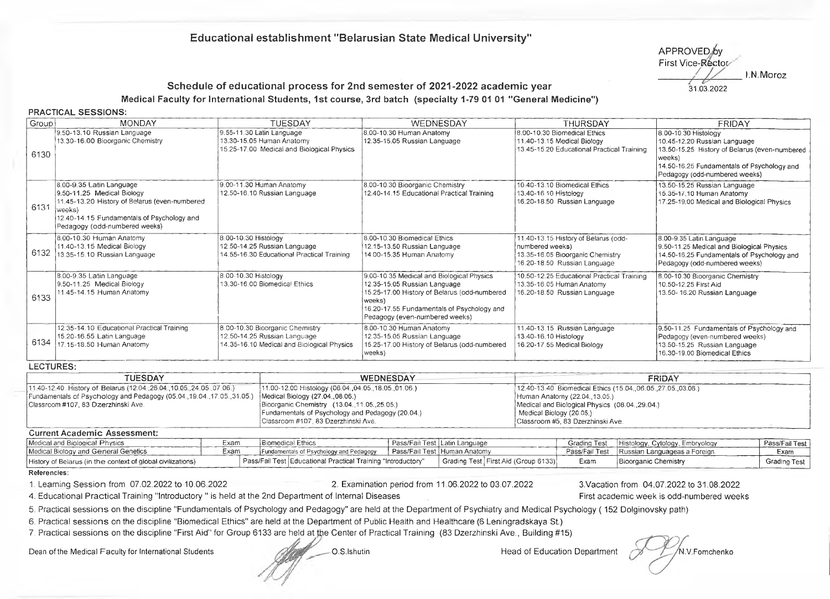# **Educational establishment "Belarusian State Medical University"**

APPROVED.by First Vice-Rector 31.03.2022 I.N.Moroz

# **Schedule of educational process for 2nd semester of 2021-2022 academic year Medical Faculty for International Students, 1st course, 3rd batch (specialty 1-79 01 01 "General Medicine")**

**PRACTICAL SESSIONS:**

| Group | <b>MONDAY</b>                                                                                                                                                                                     | <b>TUESDAY</b>                                                                                                | WEDNESDAY                                                                                                                                                                                                           | <b>THURSDAY</b>                                                                                                             | <b>FRIDAY</b>                                                                                                                                                                                  |
|-------|---------------------------------------------------------------------------------------------------------------------------------------------------------------------------------------------------|---------------------------------------------------------------------------------------------------------------|---------------------------------------------------------------------------------------------------------------------------------------------------------------------------------------------------------------------|-----------------------------------------------------------------------------------------------------------------------------|------------------------------------------------------------------------------------------------------------------------------------------------------------------------------------------------|
| 6130  | 9.50-13.10 Russian Language<br>13.30-16.00 Bioorganic Chemistry                                                                                                                                   | 9.55-11.30 Latin Language<br>13.30-15.05 Human Anatomy<br>15.25-17.00 Medical and Biological Physics          | 8.00-10.30 Human Anatomy<br>12.35-15.05 Russian Language                                                                                                                                                            | 8.00-10.30 Biomedical Ethics<br>11.40-13.15 Medical Biology<br>13.45-15.20 Educational Practical Training                   | 8.00-10.30 Histology<br>10.45-12.20 Russian Language<br>13.50-15.25 History of Belarus (even-numbered<br>weeks)<br>14.50-16.25 Fundamentals of Psychology and<br>Pedagogy (odd-numbered weeks) |
| 6131  | 8.00-9.35 Latin Language<br>9.50-11.25 Medical Biology<br>11.45-13.20 History of Belarus (even-numbered<br>lweeks)<br>12.40-14.15 Fundamentals of Psychology and<br>Pedagogy (odd-numbered weeks) | 9.00-11.30 Human Anatomy<br>12.50-16.10 Russian Language                                                      | 8.00-10.30 Bioorganic Chemistry<br>12.40-14.15 Educational Practical Training                                                                                                                                       | 10.40-13.10 Biomedical Ethics<br>13.40-16 10 Histology<br>16.20-18.50 Russian Language                                      | 13.50-15.25 Russian Language<br>15.35-17.10 Human Anatomy<br>17.25-19.00 Medical and Biological Physics                                                                                        |
|       | 8.00-10.30 Human Anatomy<br>11.40-13.15 Medical Biology<br>6132 13.35-15.10 Russian Language                                                                                                      | 8.00-10.30 Histology<br>12.50-14.25 Russian Language<br>14.55-16.30 Educational Practical Training            | 8.00-10.30 Biomedical Ethics<br>12.15-13.50 Russian Language<br>14.00-15.35 Human Anatomy                                                                                                                           | 11.40-13.15 History of Belarus (odd-<br>numbered weeks)<br>13.35-16.05 Bioorganic Chemistry<br>16.20-18.50 Russian Language | 8.00-9.35 Latin Language<br>9.50-11.25 Medical and Biological Physics<br>14.50-16.25 Fundamentals of Psychology and<br>Pedagogy (odd-numbered weeks)                                           |
| 6133  | 8.00-9.35 Latin Language<br>9.50-11.25 Medical Biology<br>11.45-14.15 Human Anatomy                                                                                                               | 8.00-10.30 Histology<br>13.30-16.00 Biomedical Ethics                                                         | 9.00-10.35 Medical and Biological Physics<br>12.35-15.05 Russian Language<br>15.25-17.00 History of Belarus (odd-numbered<br>weeks)<br>16.20-17.55 Fundamentals of Psychology and<br>Pedagogy (even-numbered weeks) | 10.50-12.25 Educational Practical Training<br>13.35-16.05 Human Anatomy<br>16.20-18.50 Russian Language                     | 8.00-10.30 Bioorganic Chemistry<br>10.50-12.25 First Aid<br>13.50-16.20 Russian Language                                                                                                       |
| 6134  | 12.35-14.10 Educational Practical Training<br>15.20-16.55 Latin Language<br>17.15-18.50 Human Anatomy                                                                                             | 8.00-10.30 Bioorganic Chemistry<br>12.50-14.25 Russian Language<br>14.35-16.10 Medical and Biological Physics | 8.00-10.30 Human Anatomy<br>12.35-15.05 Russian Language<br>15.25-17.00 History of Belarus (odd-numbered<br>weeks)                                                                                                  | 11.40-13.15 Russian Language<br>13.40-16.10 Histology<br>16.20-17.55 Medical Biology                                        | 9.50-11.25 Fundamentals of Psychology and<br>Pedagogy (even-numbered weeks)<br>13.50-15.25 Russian Language<br>16.30-19.00 Biomedical Ethics                                                   |

#### **LECTURES:**

| TUESDAY                                                                                                | <b>WEDNESDAY</b>                                     | FRIDAY                                                         |
|--------------------------------------------------------------------------------------------------------|------------------------------------------------------|----------------------------------------------------------------|
| [11.40-12.40 History of Belarus (12.04., 26.04, 10.05., 24.05.07.06.)                                  | [11.00-12.00 Histology (06.04.,04.05.,18.05.,01.06.) | 12.40-13.40 Biomedical Ethics (15.04., 06.05., 27.05., 03.06.) |
| [Fundamentals of Psychology and Pedagogy (05.04.,19.04.,17.05.,31.05.) Medical Biology (27.04.,08.06.) |                                                      | Human Anatomy (22.04., 13.05.)                                 |
| Classroom #107, 83 Dzerzhinski Ave.                                                                    | Bioorganic Chemistry (13.04.11.05.25.05.)            | Medical and Biological Physics (08.04.29.04.)                  |
|                                                                                                        | Fundamentals of Psychology and Pedagogy (20.04.)     | Medical Biology (20.05.)                                       |
|                                                                                                        | Classroom #107, 83 Dzerzhinski Ave.                  | Classroom #5, 83 Dzerzhinski Ave.                              |

## **Current Academic Assessment:**

| Medical and Biological Physics                              | Exam | <b>Biomedical Ethics</b> |                                                                | l Pass/Fail Test   Latin Language     | Grading Test   | Histology, Cytology, Embryology | Pass/Fail Test |
|-------------------------------------------------------------|------|--------------------------|----------------------------------------------------------------|---------------------------------------|----------------|---------------------------------|----------------|
| Medical Biology and General Genetics                        |      |                          | Fundamentals of Psychology and Pedagogy                        | Pass/Fail Test   Human Anatomy        | Pass/Fail Test | Russian Languageas a Foreign    | Exam           |
| History of Belarus (in the context of global civilizations) |      |                          | Pass/Fail Test   Educational Practical Training "Introductory" | Grading Test   First Aid (Group 6133) | Exam           | <b>Bioorganic Chemistry</b>     | Grading Test   |

#### Referencies:

1. Learning Session from 07.02.2022 to 10.06.2022 2. Examination period from 11.06.2022 to 03.07.2022 3.Vacation from 04.07.2022 to 31.08.2022

4. Educational Practical Training "Introductory " is held at the 2nd Department of Internal Diseases First academic week is odd-numbered weeks

5. Practical sessions on the discipline "Fundamentals of Psychology and Pedagogy" are held at the Department of Psychiatry and Medical Psychology (152 Dolginovsky path)

6. Practical sessions on the discipline "Biomedical Ethics" are held at the Department of Public Health and Healthcare (6 Leningradskaya St.)

7. Practical sessions on the discipline "First Aid" for Group 6133 are held at the Center of Practical Training (83 Dzerzhinski Ave., Building #15)

Dean of the Medical Faculty for International Students **O.S.Ishutin** O.S.Ishutin Head of Education Department M.V.Fomchenko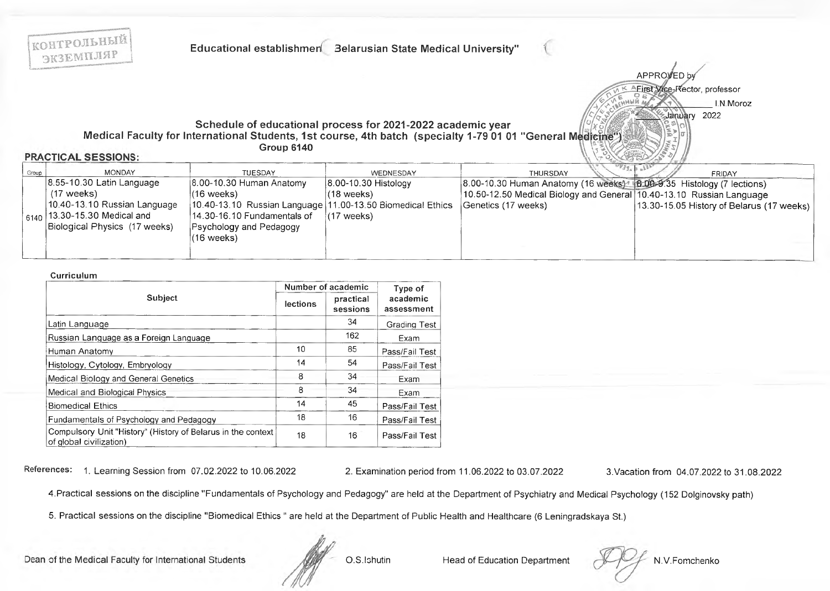

#### Curriculum

|                                                                                         |          | Number of academic    | Type of                |
|-----------------------------------------------------------------------------------------|----------|-----------------------|------------------------|
| <b>Subject</b>                                                                          | lections | practical<br>sessions | academic<br>assessment |
| Latin Language                                                                          |          | 34                    | <b>Grading Test</b>    |
| Russian Language as a Foreign Language                                                  |          | 162                   | Exam                   |
| Human Anatomy                                                                           | 10       | 85                    | Pass/Fail Test         |
| Histology, Cytology, Embryology                                                         | 14       | 54                    | Pass/Fail Test         |
| Medical Biology and General Genetics                                                    | 8        | 34                    | Exam                   |
| Medical and Biological Physics                                                          | 8        | 34                    | Exam                   |
| <b>Biomedical Ethics</b>                                                                | 14       | 45                    | Pass/Fail Test         |
| Fundamentals of Psychology and Pedagogy                                                 | 18       | 16                    | Pass/Fail Test         |
| Compulsory Unit "History" (History of Belarus in the context<br>of global civilization) | 18       | 16                    | Pass/Fail Test         |

References: 1. Learning Session from 07.02.2022 to 10.06.2022

2. Examination period from 11.06.2022 to 03.07.2022

3. Vacation from 04.07.2022 to 31.08.2022

4. Practical sessions on the discipline "Fundamentals of Psychology and Pedagogy" are held at the Department of Psychiatry and Medical Psychology (152 Dolginovsky path)

5. Practical sessions on the discipline "Biomedical Ethics " are held at the Department of Public Health and Healthcare (6 Leningradskaya St.)

Dean of the Medical Faculty for International Students

O.S.Ishutin

**Head of Education Department** 

N.V.Fomchenko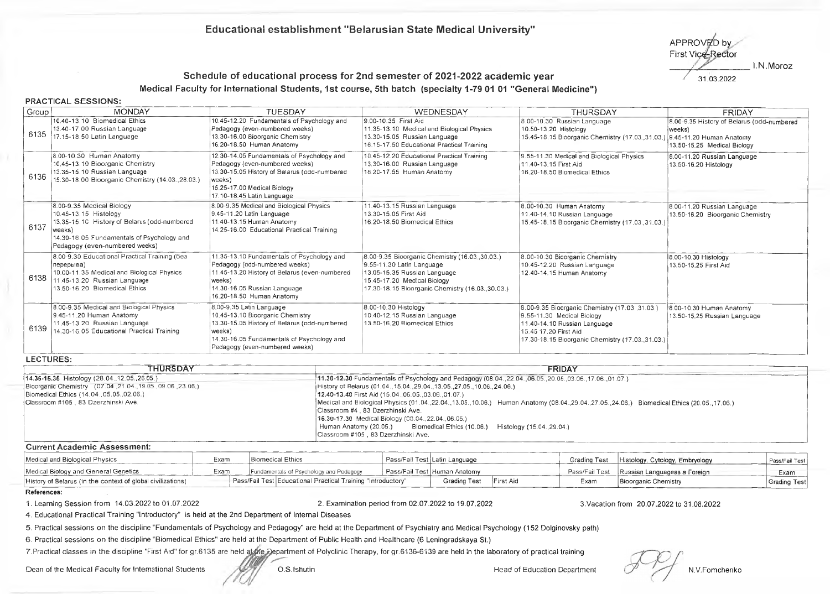## **Educational establishment "Belarusian State Medical University"**

APPROVED by First Vice-Rector 1.N.Moroz

## Schedule of educational process for 2nd semester of 2021-2022 academic year  $\frac{31.03.2022}{31.03.2022}$ **Medical Faculty for International Students, 1st course, 5th batch (specialty 1-79 01 01 "General Medicine")**

#### **PRACTICAL SESSIONS:**

| Group! | <b>MONDAY</b>                                                                                                                                                                                | <b>TUESDAY</b>                                                                                                                                                                                         | WEDNESDAY                                                                                                                                                                                     | <b>THURSDAY</b>                                                                                                                                                                         | <b>FRIDAY</b>                                                                       |
|--------|----------------------------------------------------------------------------------------------------------------------------------------------------------------------------------------------|--------------------------------------------------------------------------------------------------------------------------------------------------------------------------------------------------------|-----------------------------------------------------------------------------------------------------------------------------------------------------------------------------------------------|-----------------------------------------------------------------------------------------------------------------------------------------------------------------------------------------|-------------------------------------------------------------------------------------|
| 6135   | 10.40-13.10 Biomedical Ethics<br>13.40-17.00 Russian Language<br>17.15-18.50 Latin Language                                                                                                  | 10.45-12.20 Fundamentals of Psychology and<br>Pedagogy (even-numbered weeks)<br>13,30-16.00 Bioorganic Chemistry<br>16.20-18.50 Human Anatomy                                                          | 9.00-10.35 First Aid<br>11.35-13.10 Medical and Biological Physics<br>13.30-15.05 Russian Language<br>16.15-17.50 Educational Practical Training                                              | 8.00-10.30 Russian Language<br>10.50-13.20 Histology<br>15.45-18.15 Bioorganic Chemistry (17.03., 31.03.) 9.45-11.20 Human Anatomy                                                      | 8.00-9.35 History of Belarus (odd-numbered<br>weeks)<br>13.50-15.25 Medical Biology |
| 6136   | 8.00-10.30 Human Anatomy<br>10.45-13.10 Bioorganic Chemistry<br>13.35-15.10 Russian Language<br>15.30-18.00 Bioorganic Chemistry (14.03., 28.03.)                                            | 12.30-14.05 Fundamentals of Psychology and<br>Pedagogy (even-numbered weeks)<br>13.30-15.05 History of Belarus (odd-numbered<br>(weeks)<br>15.25-17.00 Medical Biology<br>17.10-18.45 Latin Language   | 10.45-12.20 Educational Practical Training<br>13.30-16.00 Russian Language<br>16.20-17.55 Human Anatomy                                                                                       | 9.55-11.30 Medical and Biological Physics<br>11.40-13.15 First Aid<br>16.20-18.50 Biomedical Ethics                                                                                     | 8.00-11.20 Russian Language<br>13.50-16.20 Histology                                |
| 6137   | 8.00-9.35 Medical Biology<br>10.45-13.15 Histology<br>13.35-15.10 History of Belarus (odd-numbered<br>weeks)<br>14.30-16.05 Fundamentals of Psychology and<br>Pedagogy (even-numbered weeks) | 8.00-9.35 Medical and Biological Physics<br>9.45-11.20 Latin Language<br>11.40-13.15 Human Anatomy<br>14.25-16.00 Educational Practical Training                                                       | 11.40-13.15 Russian Language<br>13.30-15.05 First Aid<br>16.20-18.50 Biomedical Ethics                                                                                                        | 8.00-10.30 Human Anatomy<br>11.40-14.10 Russian Language<br>15.45-18.15 Bioorganic Chemistry (17.03.31.03.)                                                                             | 8.00-11.20 Russian Language<br>13.50-16.20 Bioorganic Chemistry                     |
| 6138   | 8.00-9.30 Educational Practical Training (6e3<br>перерыва)<br>10.00-11.35 Medical and Biological Physics<br>11.45-13.20 Russian Language<br>13.50-16.20 Biomedical Ethics                    | 11.35-13.10 Fundamentals of Psychology and<br>Pedagogy (odd-numbered weeks)<br>11.45-13.20 History of Belarus (even-numbered<br>(weeks)<br>14.30-16.05 Russian Language<br>16.20-18.50 Human Anatomy   | 8.00-9.35 Bioorganic Chemistry (16.03.30.03.)<br>9.55-11.30 Latin Language<br>13.05-15.35 Russian Language<br>15.45-17.20 Medical Biology<br>17.30-18.15 Bioorganic Chemistry (16.03.,30.03.) | 8.00-10.30 Bioorganic Chemistry<br>10.45-12.20 Russian Language<br>12.40-14.15 Human Anatomy                                                                                            | 8.00-10.30 Histology<br>13.50-15.25 First Aid                                       |
| 6139   | 8.00-9.35 Medical and Biological Physics<br>9.45-11.20 Human Anatomy<br>11.45-13.20 Russian Language<br>14.30-16.05 Educational Practical Training                                           | 8.00-9.35 Latin Language<br>10.45-13.10 Bioorganic Chemistry<br>13.30-15.05 History of Belarus (odd-numbered<br>weeks)<br>14.30-16.05 Fundamentals of Psychology and<br>Pedagogy (even-numbered weeks) | 8.00-10.30 Histology<br>10.40-12.15 Russian Language<br>13.50-16.20 Biomedical Ethics                                                                                                         | 8.00-9.35 Bioorganic Chemistry (17.03.31.03.)<br>9.55-11.30 Medical Biology<br>11.40-14.10 Russian Language<br>15.45 17.20 First Aid<br>17.30-18.15 Bioorganic Chemistry (17.03.31.03.) | 8.00-10.30 Human Anatomy<br>13.50-15.25 Russian Language                            |

| THURSDAY                                              | <b>FRIDAY</b>                                                                                                                                                                                                                       |  |  |  |  |
|-------------------------------------------------------|-------------------------------------------------------------------------------------------------------------------------------------------------------------------------------------------------------------------------------------|--|--|--|--|
| $(14.35-15.35$ Histology $(28.04, 12.05, 26.05)$      | [11.30-12.30 Fundamentals of Psychology and Pedagogy (08.04., 22.04., 06.05., 20.05., 03.06., 17.06., 01.07.)                                                                                                                       |  |  |  |  |
| Bioorganic Chemistry (07.04.21.04.19.05.09.06.23.06.) | History of Belarus (01.04., 15.04., 29.04., 13.05., 27.05., 10.06., 24.06.)                                                                                                                                                         |  |  |  |  |
| Biomedical Ethics (14.04., 05.05., 02.06.)            | [12.40-13.40 First Aid (15.04. 06.05. 03.06. 01.07.)                                                                                                                                                                                |  |  |  |  |
| Classroom #105 83 Dzerzhinski Ave.                    | Medical and Biological Physics (01.04.22.04.,13.05.,10.06.) Human Anatomy (08.04.29.04.27.05.24.06.) Biomedical Ethics (20.05.,17.06.)<br>Classroom #4, 83 Dzerzhinski Ave.<br>16.30-17.30 Medical Biology (08.04., 22.04., 06.05.) |  |  |  |  |
|                                                       | Human Anatomy (20.05.) Biomedical Ethics (10.06.) Histology (15.04., 29.04.)<br>Classroom #105, 83 Dzerzhinski Ave.                                                                                                                 |  |  |  |  |

### **Current Academic Assessment:**

| Medical and Biological Physics                              | Exam | Biomedical Ethics                                                          |  | Pass/Fail Test   Latin Language |                                               | Grading Test | Histology, Cytology, Embryology | Pass/Fail Test |
|-------------------------------------------------------------|------|----------------------------------------------------------------------------|--|---------------------------------|-----------------------------------------------|--------------|---------------------------------|----------------|
| Medical Biology and General Genetics<br>Exam                |      | ∃ Pass/Fail Test IHuman Anatomv<br>Fundamentals of Psychology and Pedagogy |  |                                 | Pass/Fail Test   Russian Languageas a Foreign | Exam         |                                 |                |
| History of Belarus (in the context of global civilizations) |      | Pass/Fail Test Educational Practical Training "Introductory"               |  | Grading Test                    | First Aid                                     | Exam         | Bioorganic Chemistry            | Grading Test   |

#### References:

1. Learning Session from 14.03.2022 to 01.07.2022 2. Examination period from 02.07.2022 to 19.07.2022 3.Vacation from 20.07.2022 to 31.08.2022

4. Educational Practical Training "Introductory" is held at the 2nd Department of Internal Diseases

5. Practical sessions on the discipline "Fundamentals of Psychology and Pedagogy" are held at the Department of Psychiatry and Medical Psychology (152 Dolginovsky path)

6. Practical sessions on the discipline "Biomedical Ethics" are held at the Department of Public Health and Healthcare (6 Leningradskaya St.)

7. Practical classes in the discipline "First Aid" for gr.6135 are held at the Department of Polyclinic Therapy, for gr.6136-6139 are held in the laboratory of practical training

Dean of the Medical Faculty for International Students (Section U.S.Ishutin M.V.Fomchenko